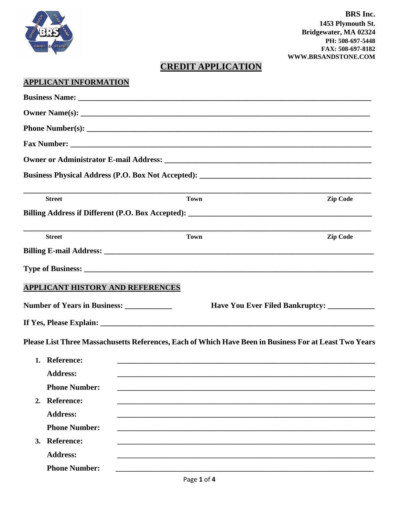

# **CREDIT APPLICATION**

## **APPLICANT INFORMATION**

| <b>Street</b>                               | <b>Town</b>                                                                                            | Zip Code                                      |  |  |
|---------------------------------------------|--------------------------------------------------------------------------------------------------------|-----------------------------------------------|--|--|
|                                             |                                                                                                        |                                               |  |  |
| <b>Street</b>                               | <b>Town</b>                                                                                            | <b>Zip Code</b>                               |  |  |
|                                             |                                                                                                        |                                               |  |  |
|                                             |                                                                                                        |                                               |  |  |
| APPLICANT HISTORY AND REFERENCES            |                                                                                                        |                                               |  |  |
| Number of Years in Business: ______________ |                                                                                                        | Have You Ever Filed Bankruptcy: _____________ |  |  |
|                                             |                                                                                                        |                                               |  |  |
|                                             | Please List Three Massachusetts References, Each of Which Have Been in Business For at Least Two Years |                                               |  |  |
| 1. Reference:                               |                                                                                                        |                                               |  |  |
| <b>Address:</b>                             |                                                                                                        |                                               |  |  |
| <b>Phone Number:</b>                        |                                                                                                        |                                               |  |  |
| 2. Reference:                               |                                                                                                        |                                               |  |  |
| <b>Address:</b>                             |                                                                                                        |                                               |  |  |
| <b>Phone Number:</b>                        |                                                                                                        |                                               |  |  |
| 3. Reference:                               |                                                                                                        |                                               |  |  |
| <b>Address:</b>                             |                                                                                                        |                                               |  |  |
| <b>Phone Number:</b>                        |                                                                                                        |                                               |  |  |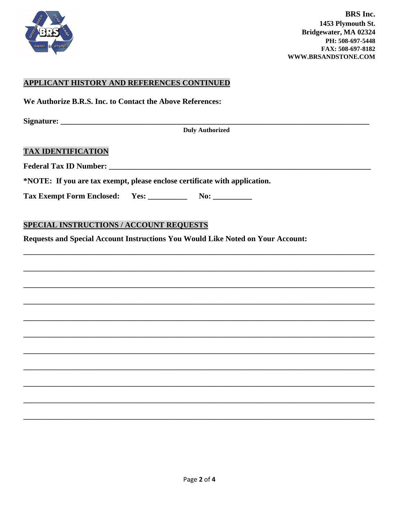

#### APPLICANT HISTORY AND REFERENCES CONTINUED

We Authorize B.R.S. Inc. to Contact the Above References:

**Duly Authorized** 

#### **TAX IDENTIFICATION**

Federal Tax ID Number:

\*NOTE: If you are tax exempt, please enclose certificate with application.

**Tax Exempt Form Enclosed:** 

### **SPECIAL INSTRUCTIONS / ACCOUNT REQUESTS**

Requests and Special Account Instructions You Would Like Noted on Your Account: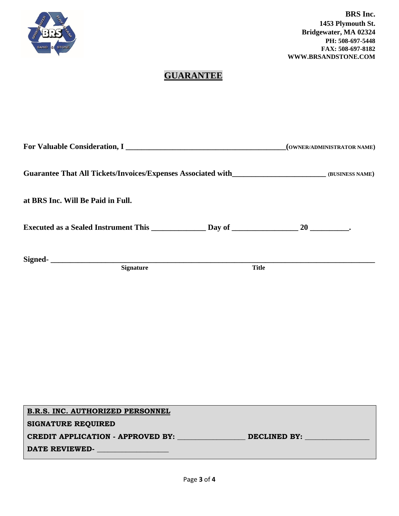

# **GUARANTEE**

|                                                                                                   | (OWNER/ADMINISTRATOR NAME) |
|---------------------------------------------------------------------------------------------------|----------------------------|
| Guarantee That All Tickets/Invoices/Expenses Associated with_____________________ (BUSINESS NAME) |                            |
| at BRS Inc. Will Be Paid in Full.                                                                 |                            |
|                                                                                                   |                            |
| Signed-<br><u> </u><br><b>Signature</b>                                                           | <b>Title</b>               |

| <b>B.R.S. INC. AUTHORIZED PERSONNEL</b>  |              |
|------------------------------------------|--------------|
| <b>SIGNATURE REQUIRED</b>                |              |
| <b>CREDIT APPLICATION - APPROVED BY:</b> | DECLINED BY: |
| DATE REVIEWED-                           |              |
|                                          |              |